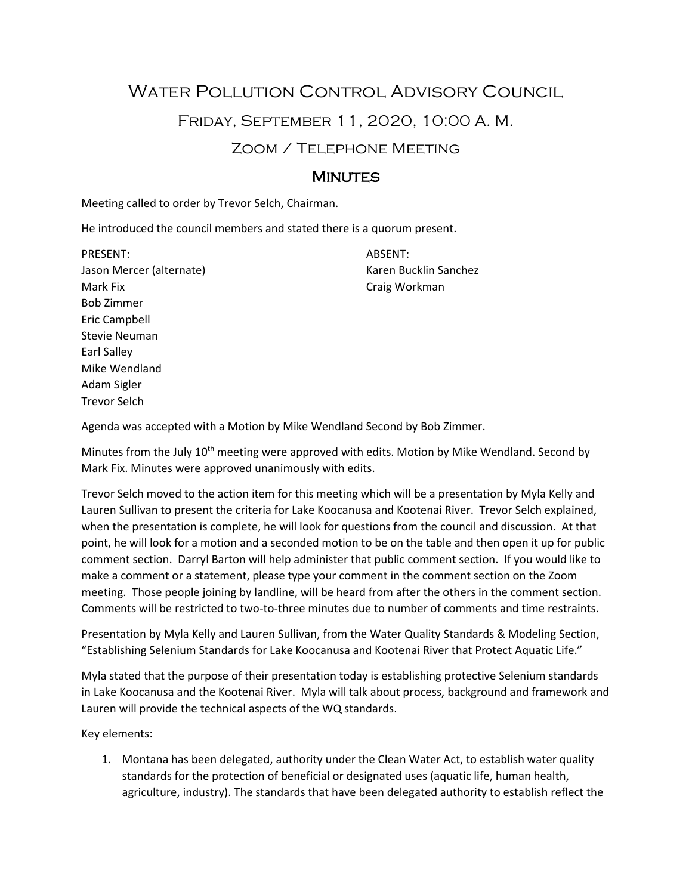# WATER POLLUTION CONTROL ADVISORY COUNCIL Friday, September 11, 2020, 10:00 A. M. Zoom / Telephone Meeting

# **MINUTES**

Meeting called to order by Trevor Selch, Chairman.

He introduced the council members and stated there is a quorum present.

PRESENT: Jason Mercer (alternate) Mark Fix Bob Zimmer Eric Campbell Stevie Neuman Earl Salley Mike Wendland Adam Sigler Trevor Selch

ABSENT: Karen Bucklin Sanchez Craig Workman

Agenda was accepted with a Motion by Mike Wendland Second by Bob Zimmer.

Minutes from the July 10<sup>th</sup> meeting were approved with edits. Motion by Mike Wendland. Second by Mark Fix. Minutes were approved unanimously with edits.

Trevor Selch moved to the action item for this meeting which will be a presentation by Myla Kelly and Lauren Sullivan to present the criteria for Lake Koocanusa and Kootenai River. Trevor Selch explained, when the presentation is complete, he will look for questions from the council and discussion. At that point, he will look for a motion and a seconded motion to be on the table and then open it up for public comment section. Darryl Barton will help administer that public comment section. If you would like to make a comment or a statement, please type your comment in the comment section on the Zoom meeting. Those people joining by landline, will be heard from after the others in the comment section. Comments will be restricted to two-to-three minutes due to number of comments and time restraints.

Presentation by Myla Kelly and Lauren Sullivan, from the Water Quality Standards & Modeling Section, "Establishing Selenium Standards for Lake Koocanusa and Kootenai River that Protect Aquatic Life."

Myla stated that the purpose of their presentation today is establishing protective Selenium standards in Lake Koocanusa and the Kootenai River. Myla will talk about process, background and framework and Lauren will provide the technical aspects of the WQ standards.

Key elements:

1. Montana has been delegated, authority under the Clean Water Act, to establish water quality standards for the protection of beneficial or designated uses (aquatic life, human health, agriculture, industry). The standards that have been delegated authority to establish reflect the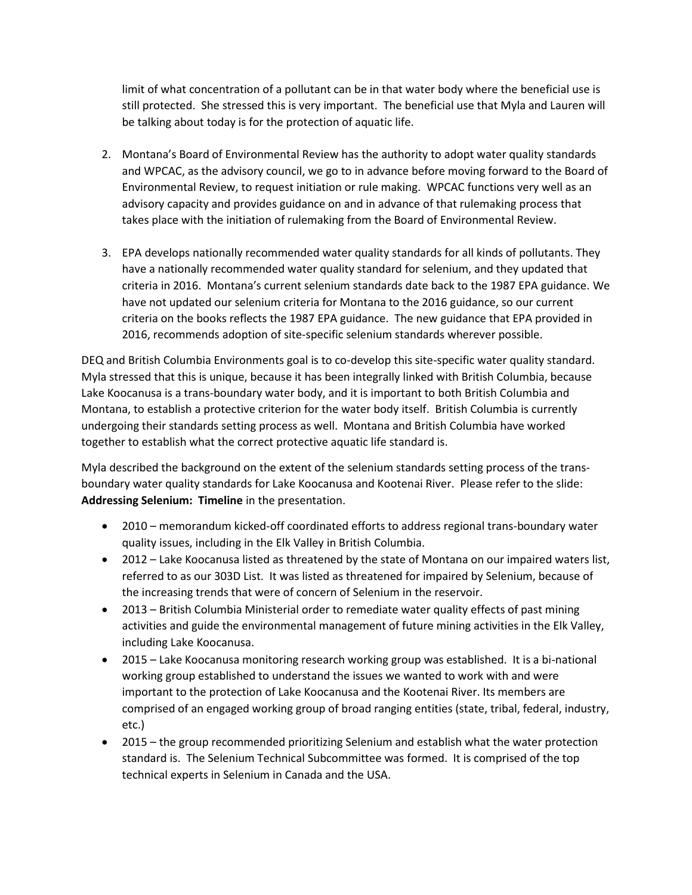limit of what concentration of a pollutant can be in that water body where the beneficial use is still protected. She stressed this is very important. The beneficial use that Myla and Lauren will be talking about today is for the protection of aquatic life.

- 2. Montana's Board of Environmental Review has the authority to adopt water quality standards and WPCAC, as the advisory council, we go to in advance before moving forward to the Board of Environmental Review, to request initiation or rule making. WPCAC functions very well as an advisory capacity and provides guidance on and in advance of that rulemaking process that takes place with the initiation of rulemaking from the Board of Environmental Review.
- 3. EPA develops nationally recommended water quality standards for all kinds of pollutants. They have a nationally recommended water quality standard for selenium, and they updated that criteria in 2016. Montana's current selenium standards date back to the 1987 EPA guidance. We have not updated our selenium criteria for Montana to the 2016 guidance, so our current criteria on the books reflects the 1987 EPA guidance. The new guidance that EPA provided in 2016, recommends adoption of site-specific selenium standards wherever possible.

DEQ and British Columbia Environments goal is to co-develop this site-specific water quality standard. Myla stressed that this is unique, because it has been integrally linked with British Columbia, because Lake Koocanusa is a trans-boundary water body, and it is important to both British Columbia and Montana, to establish a protective criterion for the water body itself. British Columbia is currently undergoing their standards setting process as well. Montana and British Columbia have worked together to establish what the correct protective aquatic life standard is.

Myla described the background on the extent of the selenium standards setting process of the transboundary water quality standards for Lake Koocanusa and Kootenai River. Please refer to the slide: **Addressing Selenium: Timeline** in the presentation.

- 2010 memorandum kicked-off coordinated efforts to address regional trans-boundary water quality issues, including in the Elk Valley in British Columbia.
- 2012 Lake Koocanusa listed as threatened by the state of Montana on our impaired waters list, referred to as our 303D List. It was listed as threatened for impaired by Selenium, because of the increasing trends that were of concern of Selenium in the reservoir.
- 2013 British Columbia Ministerial order to remediate water quality effects of past mining activities and guide the environmental management of future mining activities in the Elk Valley, including Lake Koocanusa.
- 2015 Lake Koocanusa monitoring research working group was established. It is a bi-national working group established to understand the issues we wanted to work with and were important to the protection of Lake Koocanusa and the Kootenai River. Its members are comprised of an engaged working group of broad ranging entities (state, tribal, federal, industry, etc.)
- 2015 the group recommended prioritizing Selenium and establish what the water protection standard is. The Selenium Technical Subcommittee was formed. It is comprised of the top technical experts in Selenium in Canada and the USA.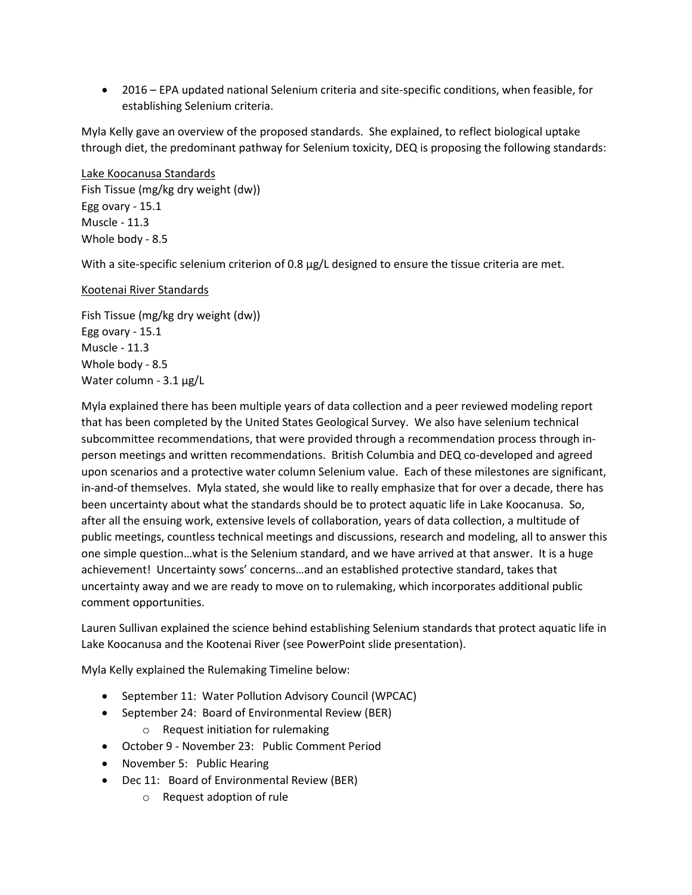• 2016 – EPA updated national Selenium criteria and site-specific conditions, when feasible, for establishing Selenium criteria.

Myla Kelly gave an overview of the proposed standards. She explained, to reflect biological uptake through diet, the predominant pathway for Selenium toxicity, DEQ is proposing the following standards:

Lake Koocanusa Standards Fish Tissue (mg/kg dry weight (dw)) Egg ovary - 15.1 Muscle - 11.3 Whole body - 8.5

With a site-specific selenium criterion of 0.8 µg/L designed to ensure the tissue criteria are met.

## Kootenai River Standards

Fish Tissue (mg/kg dry weight (dw)) Egg ovary - 15.1 Muscle - 11.3 Whole body - 8.5 Water column - 3.1 µg/L

Myla explained there has been multiple years of data collection and a peer reviewed modeling report that has been completed by the United States Geological Survey. We also have selenium technical subcommittee recommendations, that were provided through a recommendation process through inperson meetings and written recommendations. British Columbia and DEQ co-developed and agreed upon scenarios and a protective water column Selenium value. Each of these milestones are significant, in-and-of themselves. Myla stated, she would like to really emphasize that for over a decade, there has been uncertainty about what the standards should be to protect aquatic life in Lake Koocanusa. So, after all the ensuing work, extensive levels of collaboration, years of data collection, a multitude of public meetings, countless technical meetings and discussions, research and modeling, all to answer this one simple question…what is the Selenium standard, and we have arrived at that answer. It is a huge achievement! Uncertainty sows' concerns…and an established protective standard, takes that uncertainty away and we are ready to move on to rulemaking, which incorporates additional public comment opportunities.

Lauren Sullivan explained the science behind establishing Selenium standards that protect aquatic life in Lake Koocanusa and the Kootenai River (see PowerPoint slide presentation).

Myla Kelly explained the Rulemaking Timeline below:

- September 11: Water Pollution Advisory Council (WPCAC)
- September 24: Board of Environmental Review (BER)
	- o Request initiation for rulemaking
- October 9 November 23: Public Comment Period
- November 5: Public Hearing
- Dec 11: Board of Environmental Review (BER)
	- o Request adoption of rule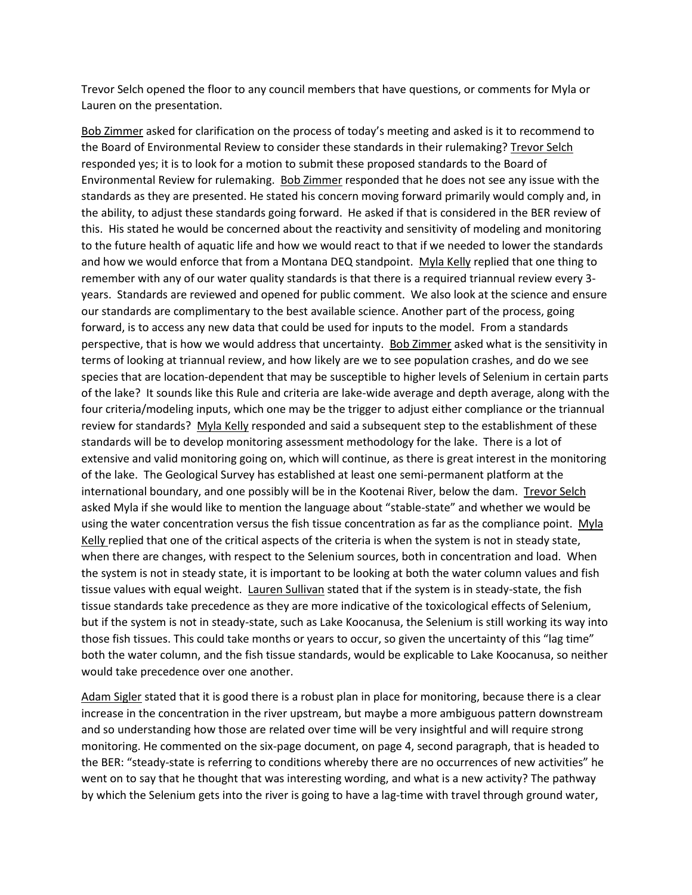Trevor Selch opened the floor to any council members that have questions, or comments for Myla or Lauren on the presentation.

Bob Zimmer asked for clarification on the process of today's meeting and asked is it to recommend to the Board of Environmental Review to consider these standards in their rulemaking? Trevor Selch responded yes; it is to look for a motion to submit these proposed standards to the Board of Environmental Review for rulemaking. Bob Zimmer responded that he does not see any issue with the standards as they are presented. He stated his concern moving forward primarily would comply and, in the ability, to adjust these standards going forward. He asked if that is considered in the BER review of this. His stated he would be concerned about the reactivity and sensitivity of modeling and monitoring to the future health of aquatic life and how we would react to that if we needed to lower the standards and how we would enforce that from a Montana DEQ standpoint. Myla Kelly replied that one thing to remember with any of our water quality standards is that there is a required triannual review every 3 years. Standards are reviewed and opened for public comment. We also look at the science and ensure our standards are complimentary to the best available science. Another part of the process, going forward, is to access any new data that could be used for inputs to the model. From a standards perspective, that is how we would address that uncertainty. Bob Zimmer asked what is the sensitivity in terms of looking at triannual review, and how likely are we to see population crashes, and do we see species that are location-dependent that may be susceptible to higher levels of Selenium in certain parts of the lake? It sounds like this Rule and criteria are lake-wide average and depth average, along with the four criteria/modeling inputs, which one may be the trigger to adjust either compliance or the triannual review for standards? Myla Kelly responded and said a subsequent step to the establishment of these standards will be to develop monitoring assessment methodology for the lake. There is a lot of extensive and valid monitoring going on, which will continue, as there is great interest in the monitoring of the lake. The Geological Survey has established at least one semi-permanent platform at the international boundary, and one possibly will be in the Kootenai River, below the dam. Trevor Selch asked Myla if she would like to mention the language about "stable-state" and whether we would be using the water concentration versus the fish tissue concentration as far as the compliance point. Myla Kelly replied that one of the critical aspects of the criteria is when the system is not in steady state, when there are changes, with respect to the Selenium sources, both in concentration and load. When the system is not in steady state, it is important to be looking at both the water column values and fish tissue values with equal weight. Lauren Sullivan stated that if the system is in steady-state, the fish tissue standards take precedence as they are more indicative of the toxicological effects of Selenium, but if the system is not in steady-state, such as Lake Koocanusa, the Selenium is still working its way into those fish tissues. This could take months or years to occur, so given the uncertainty of this "lag time" both the water column, and the fish tissue standards, would be explicable to Lake Koocanusa, so neither would take precedence over one another.

Adam Sigler stated that it is good there is a robust plan in place for monitoring, because there is a clear increase in the concentration in the river upstream, but maybe a more ambiguous pattern downstream and so understanding how those are related over time will be very insightful and will require strong monitoring. He commented on the six-page document, on page 4, second paragraph, that is headed to the BER: "steady-state is referring to conditions whereby there are no occurrences of new activities" he went on to say that he thought that was interesting wording, and what is a new activity? The pathway by which the Selenium gets into the river is going to have a lag-time with travel through ground water,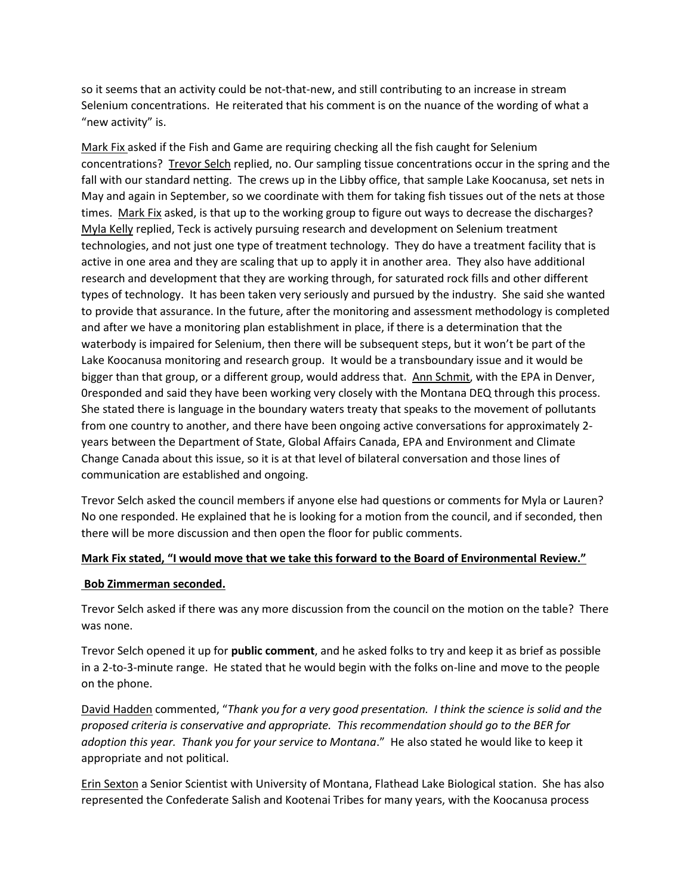so it seems that an activity could be not-that-new, and still contributing to an increase in stream Selenium concentrations. He reiterated that his comment is on the nuance of the wording of what a "new activity" is.

Mark Fix asked if the Fish and Game are requiring checking all the fish caught for Selenium concentrations? Trevor Selch replied, no. Our sampling tissue concentrations occur in the spring and the fall with our standard netting. The crews up in the Libby office, that sample Lake Koocanusa, set nets in May and again in September, so we coordinate with them for taking fish tissues out of the nets at those times. Mark Fix asked, is that up to the working group to figure out ways to decrease the discharges? Myla Kelly replied, Teck is actively pursuing research and development on Selenium treatment technologies, and not just one type of treatment technology. They do have a treatment facility that is active in one area and they are scaling that up to apply it in another area. They also have additional research and development that they are working through, for saturated rock fills and other different types of technology. It has been taken very seriously and pursued by the industry. She said she wanted to provide that assurance. In the future, after the monitoring and assessment methodology is completed and after we have a monitoring plan establishment in place, if there is a determination that the waterbody is impaired for Selenium, then there will be subsequent steps, but it won't be part of the Lake Koocanusa monitoring and research group. It would be a transboundary issue and it would be bigger than that group, or a different group, would address that. Ann Schmit, with the EPA in Denver, 0responded and said they have been working very closely with the Montana DEQ through this process. She stated there is language in the boundary waters treaty that speaks to the movement of pollutants from one country to another, and there have been ongoing active conversations for approximately 2 years between the Department of State, Global Affairs Canada, EPA and Environment and Climate Change Canada about this issue, so it is at that level of bilateral conversation and those lines of communication are established and ongoing.

Trevor Selch asked the council members if anyone else had questions or comments for Myla or Lauren? No one responded. He explained that he is looking for a motion from the council, and if seconded, then there will be more discussion and then open the floor for public comments.

### **Mark Fix stated, "I would move that we take this forward to the Board of Environmental Review."**

### **Bob Zimmerman seconded.**

Trevor Selch asked if there was any more discussion from the council on the motion on the table? There was none.

Trevor Selch opened it up for **public comment**, and he asked folks to try and keep it as brief as possible in a 2-to-3-minute range. He stated that he would begin with the folks on-line and move to the people on the phone.

David Hadden commented, "*Thank you for a very good presentation. I think the science is solid and the proposed criteria is conservative and appropriate. This recommendation should go to the BER for adoption this year. Thank you for your service to Montana*." He also stated he would like to keep it appropriate and not political.

Erin Sexton a Senior Scientist with University of Montana, Flathead Lake Biological station. She has also represented the Confederate Salish and Kootenai Tribes for many years, with the Koocanusa process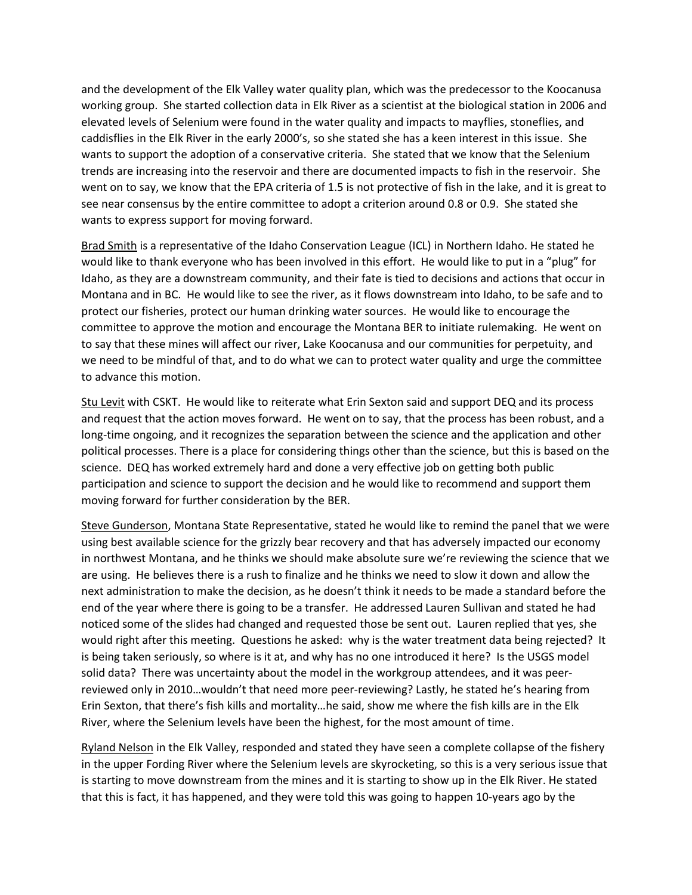and the development of the Elk Valley water quality plan, which was the predecessor to the Koocanusa working group. She started collection data in Elk River as a scientist at the biological station in 2006 and elevated levels of Selenium were found in the water quality and impacts to mayflies, stoneflies, and caddisflies in the Elk River in the early 2000's, so she stated she has a keen interest in this issue. She wants to support the adoption of a conservative criteria. She stated that we know that the Selenium trends are increasing into the reservoir and there are documented impacts to fish in the reservoir. She went on to say, we know that the EPA criteria of 1.5 is not protective of fish in the lake, and it is great to see near consensus by the entire committee to adopt a criterion around 0.8 or 0.9. She stated she wants to express support for moving forward.

Brad Smith is a representative of the Idaho Conservation League (ICL) in Northern Idaho. He stated he would like to thank everyone who has been involved in this effort. He would like to put in a "plug" for Idaho, as they are a downstream community, and their fate is tied to decisions and actions that occur in Montana and in BC. He would like to see the river, as it flows downstream into Idaho, to be safe and to protect our fisheries, protect our human drinking water sources. He would like to encourage the committee to approve the motion and encourage the Montana BER to initiate rulemaking. He went on to say that these mines will affect our river, Lake Koocanusa and our communities for perpetuity, and we need to be mindful of that, and to do what we can to protect water quality and urge the committee to advance this motion.

Stu Levit with CSKT. He would like to reiterate what Erin Sexton said and support DEQ and its process and request that the action moves forward. He went on to say, that the process has been robust, and a long-time ongoing, and it recognizes the separation between the science and the application and other political processes. There is a place for considering things other than the science, but this is based on the science. DEQ has worked extremely hard and done a very effective job on getting both public participation and science to support the decision and he would like to recommend and support them moving forward for further consideration by the BER.

Steve Gunderson, Montana State Representative, stated he would like to remind the panel that we were using best available science for the grizzly bear recovery and that has adversely impacted our economy in northwest Montana, and he thinks we should make absolute sure we're reviewing the science that we are using. He believes there is a rush to finalize and he thinks we need to slow it down and allow the next administration to make the decision, as he doesn't think it needs to be made a standard before the end of the year where there is going to be a transfer. He addressed Lauren Sullivan and stated he had noticed some of the slides had changed and requested those be sent out. Lauren replied that yes, she would right after this meeting. Questions he asked: why is the water treatment data being rejected? It is being taken seriously, so where is it at, and why has no one introduced it here? Is the USGS model solid data? There was uncertainty about the model in the workgroup attendees, and it was peerreviewed only in 2010…wouldn't that need more peer-reviewing? Lastly, he stated he's hearing from Erin Sexton, that there's fish kills and mortality…he said, show me where the fish kills are in the Elk River, where the Selenium levels have been the highest, for the most amount of time.

Ryland Nelson in the Elk Valley, responded and stated they have seen a complete collapse of the fishery in the upper Fording River where the Selenium levels are skyrocketing, so this is a very serious issue that is starting to move downstream from the mines and it is starting to show up in the Elk River. He stated that this is fact, it has happened, and they were told this was going to happen 10-years ago by the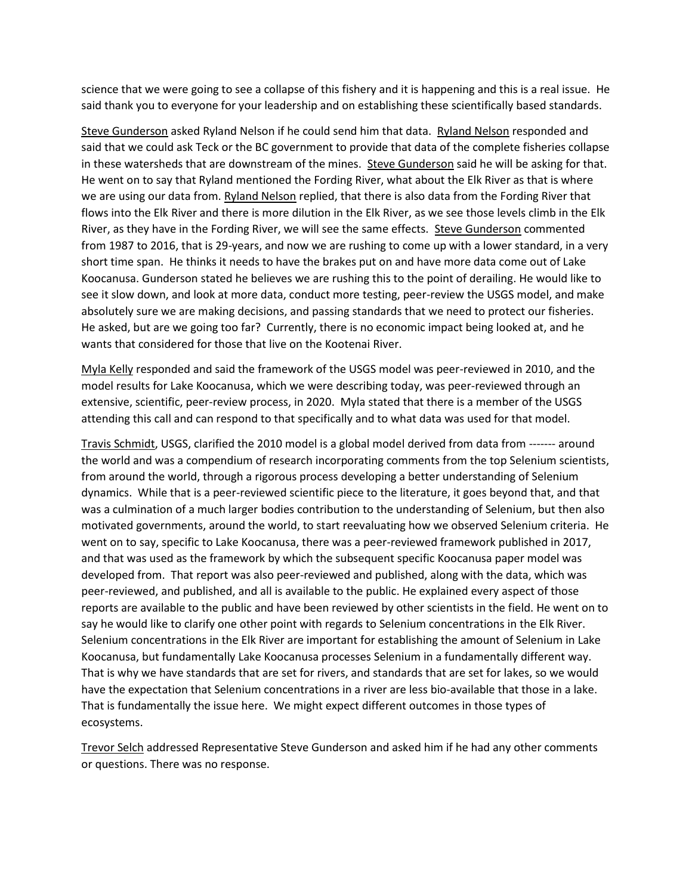science that we were going to see a collapse of this fishery and it is happening and this is a real issue. He said thank you to everyone for your leadership and on establishing these scientifically based standards.

Steve Gunderson asked Ryland Nelson if he could send him that data. Ryland Nelson responded and said that we could ask Teck or the BC government to provide that data of the complete fisheries collapse in these watersheds that are downstream of the mines. Steve Gunderson said he will be asking for that. He went on to say that Ryland mentioned the Fording River, what about the Elk River as that is where we are using our data from. Ryland Nelson replied, that there is also data from the Fording River that flows into the Elk River and there is more dilution in the Elk River, as we see those levels climb in the Elk River, as they have in the Fording River, we will see the same effects. Steve Gunderson commented from 1987 to 2016, that is 29-years, and now we are rushing to come up with a lower standard, in a very short time span. He thinks it needs to have the brakes put on and have more data come out of Lake Koocanusa. Gunderson stated he believes we are rushing this to the point of derailing. He would like to see it slow down, and look at more data, conduct more testing, peer-review the USGS model, and make absolutely sure we are making decisions, and passing standards that we need to protect our fisheries. He asked, but are we going too far? Currently, there is no economic impact being looked at, and he wants that considered for those that live on the Kootenai River.

Myla Kelly responded and said the framework of the USGS model was peer-reviewed in 2010, and the model results for Lake Koocanusa, which we were describing today, was peer-reviewed through an extensive, scientific, peer-review process, in 2020. Myla stated that there is a member of the USGS attending this call and can respond to that specifically and to what data was used for that model.

Travis Schmidt, USGS, clarified the 2010 model is a global model derived from data from ------- around the world and was a compendium of research incorporating comments from the top Selenium scientists, from around the world, through a rigorous process developing a better understanding of Selenium dynamics. While that is a peer-reviewed scientific piece to the literature, it goes beyond that, and that was a culmination of a much larger bodies contribution to the understanding of Selenium, but then also motivated governments, around the world, to start reevaluating how we observed Selenium criteria. He went on to say, specific to Lake Koocanusa, there was a peer-reviewed framework published in 2017, and that was used as the framework by which the subsequent specific Koocanusa paper model was developed from. That report was also peer-reviewed and published, along with the data, which was peer-reviewed, and published, and all is available to the public. He explained every aspect of those reports are available to the public and have been reviewed by other scientists in the field. He went on to say he would like to clarify one other point with regards to Selenium concentrations in the Elk River. Selenium concentrations in the Elk River are important for establishing the amount of Selenium in Lake Koocanusa, but fundamentally Lake Koocanusa processes Selenium in a fundamentally different way. That is why we have standards that are set for rivers, and standards that are set for lakes, so we would have the expectation that Selenium concentrations in a river are less bio-available that those in a lake. That is fundamentally the issue here. We might expect different outcomes in those types of ecosystems.

Trevor Selch addressed Representative Steve Gunderson and asked him if he had any other comments or questions. There was no response.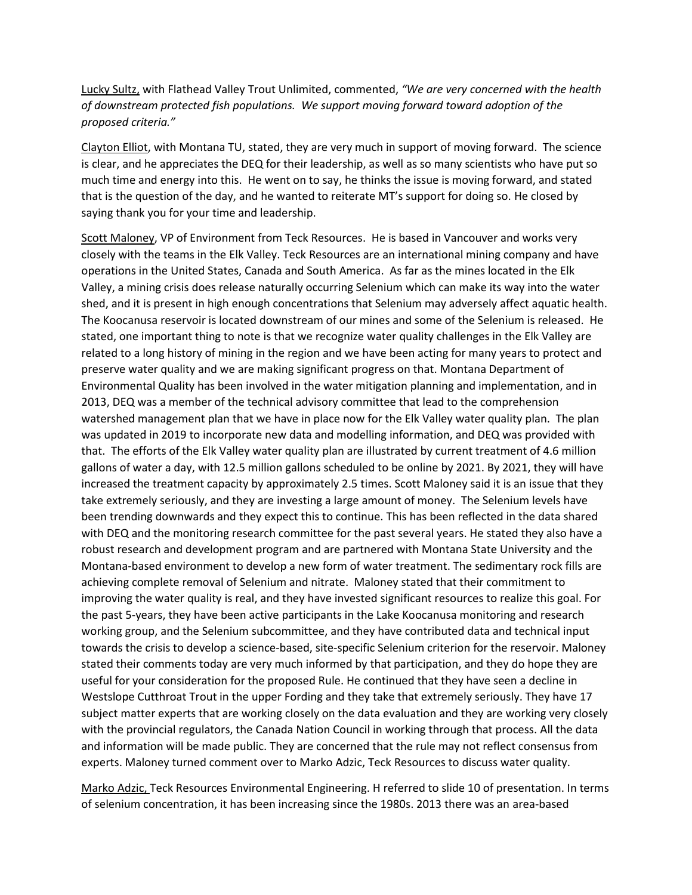Lucky Sultz, with Flathead Valley Trout Unlimited, commented, *"We are very concerned with the health of downstream protected fish populations. We support moving forward toward adoption of the proposed criteria."* 

Clayton Elliot, with Montana TU, stated, they are very much in support of moving forward. The science is clear, and he appreciates the DEQ for their leadership, as well as so many scientists who have put so much time and energy into this. He went on to say, he thinks the issue is moving forward, and stated that is the question of the day, and he wanted to reiterate MT's support for doing so. He closed by saying thank you for your time and leadership.

Scott Maloney, VP of Environment from Teck Resources. He is based in Vancouver and works very closely with the teams in the Elk Valley. Teck Resources are an international mining company and have operations in the United States, Canada and South America. As far as the mines located in the Elk Valley, a mining crisis does release naturally occurring Selenium which can make its way into the water shed, and it is present in high enough concentrations that Selenium may adversely affect aquatic health. The Koocanusa reservoir is located downstream of our mines and some of the Selenium is released. He stated, one important thing to note is that we recognize water quality challenges in the Elk Valley are related to a long history of mining in the region and we have been acting for many years to protect and preserve water quality and we are making significant progress on that. Montana Department of Environmental Quality has been involved in the water mitigation planning and implementation, and in 2013, DEQ was a member of the technical advisory committee that lead to the comprehension watershed management plan that we have in place now for the Elk Valley water quality plan. The plan was updated in 2019 to incorporate new data and modelling information, and DEQ was provided with that. The efforts of the Elk Valley water quality plan are illustrated by current treatment of 4.6 million gallons of water a day, with 12.5 million gallons scheduled to be online by 2021. By 2021, they will have increased the treatment capacity by approximately 2.5 times. Scott Maloney said it is an issue that they take extremely seriously, and they are investing a large amount of money. The Selenium levels have been trending downwards and they expect this to continue. This has been reflected in the data shared with DEQ and the monitoring research committee for the past several years. He stated they also have a robust research and development program and are partnered with Montana State University and the Montana-based environment to develop a new form of water treatment. The sedimentary rock fills are achieving complete removal of Selenium and nitrate. Maloney stated that their commitment to improving the water quality is real, and they have invested significant resources to realize this goal. For the past 5-years, they have been active participants in the Lake Koocanusa monitoring and research working group, and the Selenium subcommittee, and they have contributed data and technical input towards the crisis to develop a science-based, site-specific Selenium criterion for the reservoir. Maloney stated their comments today are very much informed by that participation, and they do hope they are useful for your consideration for the proposed Rule. He continued that they have seen a decline in Westslope Cutthroat Trout in the upper Fording and they take that extremely seriously. They have 17 subject matter experts that are working closely on the data evaluation and they are working very closely with the provincial regulators, the Canada Nation Council in working through that process. All the data and information will be made public. They are concerned that the rule may not reflect consensus from experts. Maloney turned comment over to Marko Adzic, Teck Resources to discuss water quality.

Marko Adzic, Teck Resources Environmental Engineering. H referred to slide 10 of presentation. In terms of selenium concentration, it has been increasing since the 1980s. 2013 there was an area-based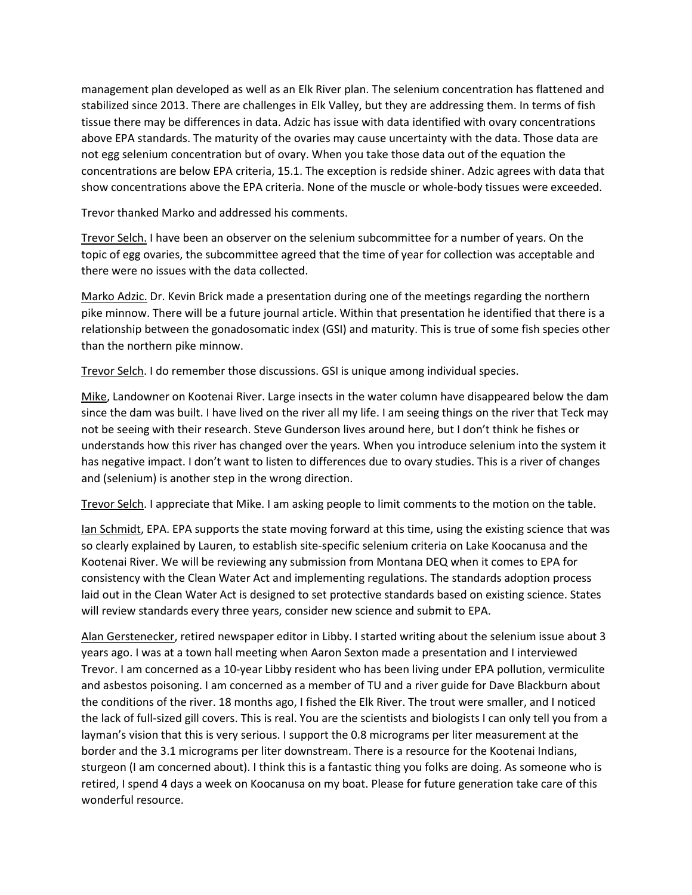management plan developed as well as an Elk River plan. The selenium concentration has flattened and stabilized since 2013. There are challenges in Elk Valley, but they are addressing them. In terms of fish tissue there may be differences in data. Adzic has issue with data identified with ovary concentrations above EPA standards. The maturity of the ovaries may cause uncertainty with the data. Those data are not egg selenium concentration but of ovary. When you take those data out of the equation the concentrations are below EPA criteria, 15.1. The exception is redside shiner. Adzic agrees with data that show concentrations above the EPA criteria. None of the muscle or whole-body tissues were exceeded.

Trevor thanked Marko and addressed his comments.

Trevor Selch. I have been an observer on the selenium subcommittee for a number of years. On the topic of egg ovaries, the subcommittee agreed that the time of year for collection was acceptable and there were no issues with the data collected.

Marko Adzic. Dr. Kevin Brick made a presentation during one of the meetings regarding the northern pike minnow. There will be a future journal article. Within that presentation he identified that there is a relationship between the gonadosomatic index (GSI) and maturity. This is true of some fish species other than the northern pike minnow.

Trevor Selch. I do remember those discussions. GSI is unique among individual species.

Mike, Landowner on Kootenai River. Large insects in the water column have disappeared below the dam since the dam was built. I have lived on the river all my life. I am seeing things on the river that Teck may not be seeing with their research. Steve Gunderson lives around here, but I don't think he fishes or understands how this river has changed over the years. When you introduce selenium into the system it has negative impact. I don't want to listen to differences due to ovary studies. This is a river of changes and (selenium) is another step in the wrong direction.

Trevor Selch. I appreciate that Mike. I am asking people to limit comments to the motion on the table.

Ian Schmidt, EPA. EPA supports the state moving forward at this time, using the existing science that was so clearly explained by Lauren, to establish site-specific selenium criteria on Lake Koocanusa and the Kootenai River. We will be reviewing any submission from Montana DEQ when it comes to EPA for consistency with the Clean Water Act and implementing regulations. The standards adoption process laid out in the Clean Water Act is designed to set protective standards based on existing science. States will review standards every three years, consider new science and submit to EPA.

Alan Gerstenecker, retired newspaper editor in Libby. I started writing about the selenium issue about 3 years ago. I was at a town hall meeting when Aaron Sexton made a presentation and I interviewed Trevor. I am concerned as a 10-year Libby resident who has been living under EPA pollution, vermiculite and asbestos poisoning. I am concerned as a member of TU and a river guide for Dave Blackburn about the conditions of the river. 18 months ago, I fished the Elk River. The trout were smaller, and I noticed the lack of full-sized gill covers. This is real. You are the scientists and biologists I can only tell you from a layman's vision that this is very serious. I support the 0.8 micrograms per liter measurement at the border and the 3.1 micrograms per liter downstream. There is a resource for the Kootenai Indians, sturgeon (I am concerned about). I think this is a fantastic thing you folks are doing. As someone who is retired, I spend 4 days a week on Koocanusa on my boat. Please for future generation take care of this wonderful resource.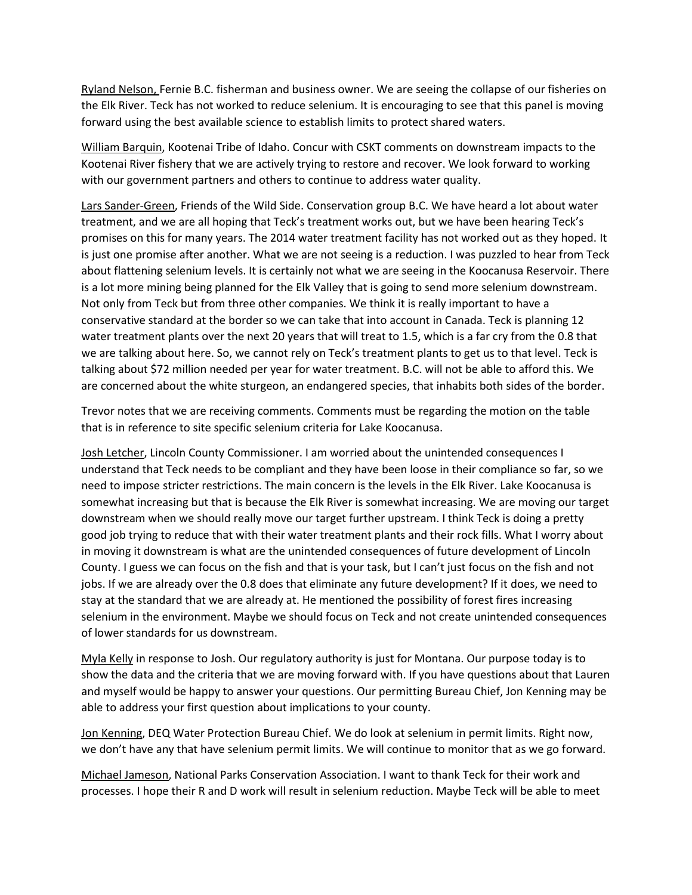Ryland Nelson, Fernie B.C. fisherman and business owner. We are seeing the collapse of our fisheries on the Elk River. Teck has not worked to reduce selenium. It is encouraging to see that this panel is moving forward using the best available science to establish limits to protect shared waters.

William Barquin, Kootenai Tribe of Idaho. Concur with CSKT comments on downstream impacts to the Kootenai River fishery that we are actively trying to restore and recover. We look forward to working with our government partners and others to continue to address water quality.

Lars Sander-Green, Friends of the Wild Side. Conservation group B.C. We have heard a lot about water treatment, and we are all hoping that Teck's treatment works out, but we have been hearing Teck's promises on this for many years. The 2014 water treatment facility has not worked out as they hoped. It is just one promise after another. What we are not seeing is a reduction. I was puzzled to hear from Teck about flattening selenium levels. It is certainly not what we are seeing in the Koocanusa Reservoir. There is a lot more mining being planned for the Elk Valley that is going to send more selenium downstream. Not only from Teck but from three other companies. We think it is really important to have a conservative standard at the border so we can take that into account in Canada. Teck is planning 12 water treatment plants over the next 20 years that will treat to 1.5, which is a far cry from the 0.8 that we are talking about here. So, we cannot rely on Teck's treatment plants to get us to that level. Teck is talking about \$72 million needed per year for water treatment. B.C. will not be able to afford this. We are concerned about the white sturgeon, an endangered species, that inhabits both sides of the border.

Trevor notes that we are receiving comments. Comments must be regarding the motion on the table that is in reference to site specific selenium criteria for Lake Koocanusa.

Josh Letcher, Lincoln County Commissioner. I am worried about the unintended consequences I understand that Teck needs to be compliant and they have been loose in their compliance so far, so we need to impose stricter restrictions. The main concern is the levels in the Elk River. Lake Koocanusa is somewhat increasing but that is because the Elk River is somewhat increasing. We are moving our target downstream when we should really move our target further upstream. I think Teck is doing a pretty good job trying to reduce that with their water treatment plants and their rock fills. What I worry about in moving it downstream is what are the unintended consequences of future development of Lincoln County. I guess we can focus on the fish and that is your task, but I can't just focus on the fish and not jobs. If we are already over the 0.8 does that eliminate any future development? If it does, we need to stay at the standard that we are already at. He mentioned the possibility of forest fires increasing selenium in the environment. Maybe we should focus on Teck and not create unintended consequences of lower standards for us downstream.

Myla Kelly in response to Josh. Our regulatory authority is just for Montana. Our purpose today is to show the data and the criteria that we are moving forward with. If you have questions about that Lauren and myself would be happy to answer your questions. Our permitting Bureau Chief, Jon Kenning may be able to address your first question about implications to your county.

Jon Kenning, DEQ Water Protection Bureau Chief. We do look at selenium in permit limits. Right now, we don't have any that have selenium permit limits. We will continue to monitor that as we go forward.

Michael Jameson, National Parks Conservation Association. I want to thank Teck for their work and processes. I hope their R and D work will result in selenium reduction. Maybe Teck will be able to meet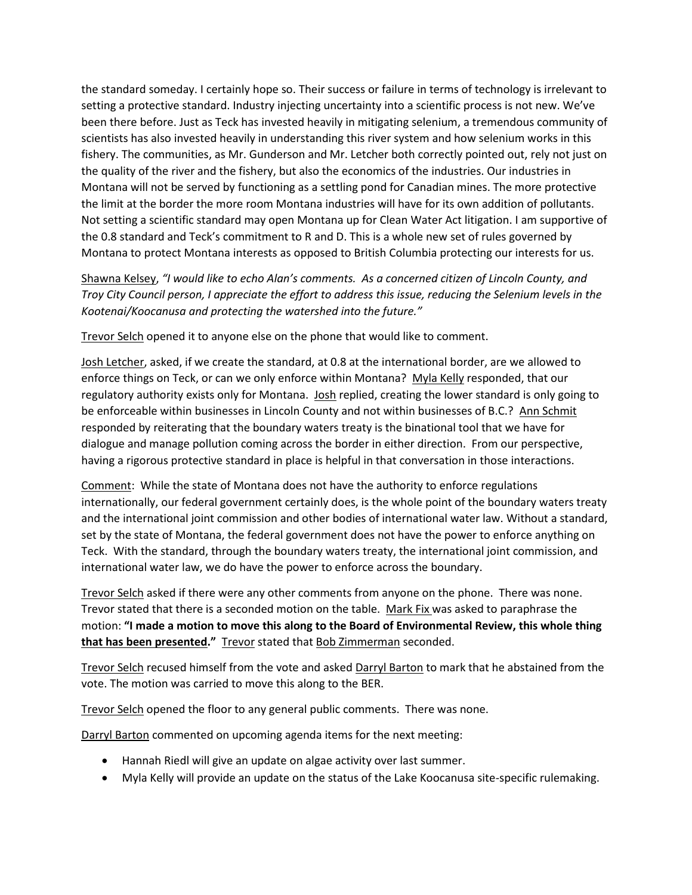the standard someday. I certainly hope so. Their success or failure in terms of technology is irrelevant to setting a protective standard. Industry injecting uncertainty into a scientific process is not new. We've been there before. Just as Teck has invested heavily in mitigating selenium, a tremendous community of scientists has also invested heavily in understanding this river system and how selenium works in this fishery. The communities, as Mr. Gunderson and Mr. Letcher both correctly pointed out, rely not just on the quality of the river and the fishery, but also the economics of the industries. Our industries in Montana will not be served by functioning as a settling pond for Canadian mines. The more protective the limit at the border the more room Montana industries will have for its own addition of pollutants. Not setting a scientific standard may open Montana up for Clean Water Act litigation. I am supportive of the 0.8 standard and Teck's commitment to R and D. This is a whole new set of rules governed by Montana to protect Montana interests as opposed to British Columbia protecting our interests for us.

Shawna Kelsey, *"I would like to echo Alan's comments. As a concerned citizen of Lincoln County, and Troy City Council person, I appreciate the effort to address this issue, reducing the Selenium levels in the Kootenai/Koocanusa and protecting the watershed into the future."*

Trevor Selch opened it to anyone else on the phone that would like to comment.

Josh Letcher, asked, if we create the standard, at 0.8 at the international border, are we allowed to enforce things on Teck, or can we only enforce within Montana? Myla Kelly responded, that our regulatory authority exists only for Montana. Josh replied, creating the lower standard is only going to be enforceable within businesses in Lincoln County and not within businesses of B.C.? Ann Schmit responded by reiterating that the boundary waters treaty is the binational tool that we have for dialogue and manage pollution coming across the border in either direction. From our perspective, having a rigorous protective standard in place is helpful in that conversation in those interactions.

Comment: While the state of Montana does not have the authority to enforce regulations internationally, our federal government certainly does, is the whole point of the boundary waters treaty and the international joint commission and other bodies of international water law. Without a standard, set by the state of Montana, the federal government does not have the power to enforce anything on Teck. With the standard, through the boundary waters treaty, the international joint commission, and international water law, we do have the power to enforce across the boundary.

Trevor Selch asked if there were any other comments from anyone on the phone. There was none. Trevor stated that there is a seconded motion on the table. Mark Fix was asked to paraphrase the motion: **"I made a motion to move this along to the Board of Environmental Review, this whole thing that has been presented."** Trevor stated that Bob Zimmerman seconded.

Trevor Selch recused himself from the vote and asked Darryl Barton to mark that he abstained from the vote. The motion was carried to move this along to the BER.

Trevor Selch opened the floor to any general public comments. There was none.

Darryl Barton commented on upcoming agenda items for the next meeting:

- Hannah Riedl will give an update on algae activity over last summer.
- Myla Kelly will provide an update on the status of the Lake Koocanusa site-specific rulemaking.